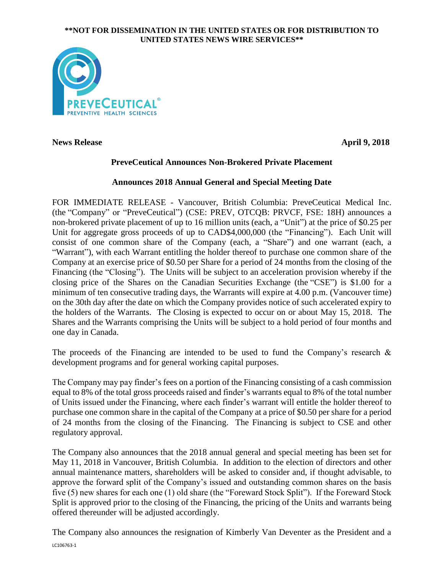### **\*\*NOT FOR DISSEMINATION IN THE UNITED STATES OR FOR DISTRIBUTION TO UNITED STATES NEWS WIRE SERVICES\*\***



**News Release** April 9, 2018

# **PreveCeutical Announces Non-Brokered Private Placement**

# **Announces 2018 Annual General and Special Meeting Date**

FOR IMMEDIATE RELEASE - Vancouver, British Columbia: PreveCeutical Medical Inc. (the "Company" or "PreveCeutical") (CSE: PREV, OTCQB: PRVCF, FSE: 18H) announces a non-brokered private placement of up to 16 million units (each, a "Unit") at the price of \$0.25 per Unit for aggregate gross proceeds of up to CAD\$4,000,000 (the "Financing"). Each Unit will consist of one common share of the Company (each, a "Share") and one warrant (each, a "Warrant"), with each Warrant entitling the holder thereof to purchase one common share of the Company at an exercise price of \$0.50 per Share for a period of 24 months from the closing of the Financing (the "Closing"). The Units will be subject to an acceleration provision whereby if the closing price of the Shares on the Canadian Securities Exchange (the "CSE") is \$1.00 for a minimum of ten consecutive trading days, the Warrants will expire at 4.00 p.m. (Vancouver time) on the 30th day after the date on which the Company provides notice of such accelerated expiry to the holders of the Warrants. The Closing is expected to occur on or about May 15, 2018. The Shares and the Warrants comprising the Units will be subject to a hold period of four months and one day in Canada.

The proceeds of the Financing are intended to be used to fund the Company's research  $\&$ development programs and for general working capital purposes.

The Company may pay finder's fees on a portion of the Financing consisting of a cash commission equal to 8% of the total gross proceeds raised and finder's warrants equal to 8% of the total number of Units issued under the Financing, where each finder's warrant will entitle the holder thereof to purchase one common share in the capital of the Company at a price of \$0.50 per share for a period of 24 months from the closing of the Financing. The Financing is subject to CSE and other regulatory approval.

The Company also announces that the 2018 annual general and special meeting has been set for May 11, 2018 in Vancouver, British Columbia. In addition to the election of directors and other annual maintenance matters, shareholders will be asked to consider and, if thought advisable, to approve the forward split of the Company's issued and outstanding common shares on the basis five (5) new shares for each one (1) old share (the "Foreward Stock Split"). If the Foreward Stock Split is approved prior to the closing of the Financing, the pricing of the Units and warrants being offered thereunder will be adjusted accordingly.

LC106763-1 The Company also announces the resignation of Kimberly Van Deventer as the President and a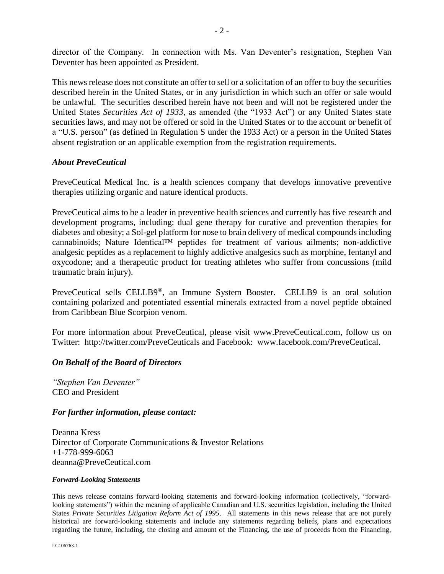director of the Company. In connection with Ms. Van Deventer's resignation, Stephen Van Deventer has been appointed as President.

This news release does not constitute an offer to sell or a solicitation of an offer to buy the securities described herein in the United States, or in any jurisdiction in which such an offer or sale would be unlawful. The securities described herein have not been and will not be registered under the United States *Securities Act of 1933*, as amended (the "1933 Act") or any United States state securities laws, and may not be offered or sold in the United States or to the account or benefit of a "U.S. person" (as defined in Regulation S under the 1933 Act) or a person in the United States absent registration or an applicable exemption from the registration requirements.

### *About PreveCeutical*

PreveCeutical Medical Inc. is a health sciences company that develops innovative preventive therapies utilizing organic and nature identical products.

PreveCeutical aims to be a leader in preventive health sciences and currently has five research and development programs, including: dual gene therapy for curative and prevention therapies for diabetes and obesity; a Sol-gel platform for nose to brain delivery of medical compounds including cannabinoids; Nature Identical™ peptides for treatment of various ailments; non-addictive analgesic peptides as a replacement to highly addictive analgesics such as morphine, fentanyl and oxycodone; and a therapeutic product for treating athletes who suffer from concussions (mild traumatic brain injury).

PreveCeutical sells CELLB9®, an Immune System Booster. CELLB9 is an oral solution containing polarized and potentiated essential minerals extracted from a novel peptide obtained from Caribbean Blue Scorpion venom.

For more information about PreveCeutical, please visit www.PreveCeutical.com, follow us on Twitter: http://twitter.com/PreveCeuticals and Facebook: www.facebook.com/PreveCeutical.

## *On Behalf of the Board of Directors*

*"Stephen Van Deventer"* CEO and President

#### *For further information, please contact:*

Deanna Kress Director of Corporate Communications & Investor Relations +1-778-999-6063 deanna@PreveCeutical.com

#### *Forward-Looking Statements*

This news release contains forward-looking statements and forward-looking information (collectively, "forwardlooking statements") within the meaning of applicable Canadian and U.S. securities legislation, including the United States *Private Securities Litigation Reform Act of 1995*. All statements in this news release that are not purely historical are forward-looking statements and include any statements regarding beliefs, plans and expectations regarding the future, including, the closing and amount of the Financing, the use of proceeds from the Financing,